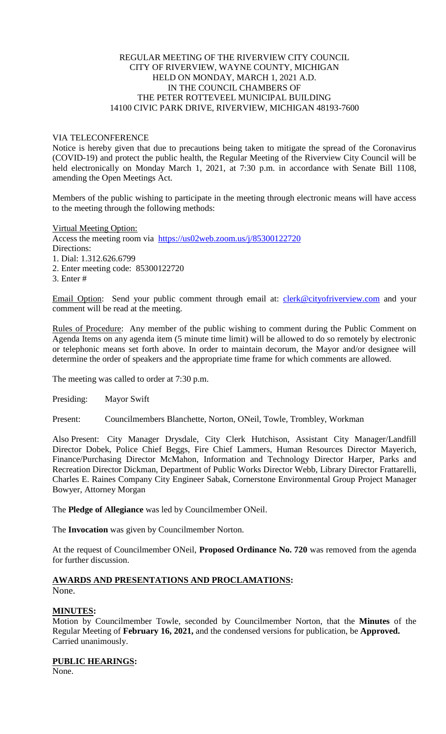### REGULAR MEETING OF THE RIVERVIEW CITY COUNCIL CITY OF RIVERVIEW, WAYNE COUNTY, MICHIGAN HELD ON MONDAY, MARCH 1, 2021 A.D. IN THE COUNCIL CHAMBERS OF THE PETER ROTTEVEEL MUNICIPAL BUILDING 14100 CIVIC PARK DRIVE, RIVERVIEW, MICHIGAN 48193-7600

### VIA TELECONFERENCE

Notice is hereby given that due to precautions being taken to mitigate the spread of the Coronavirus (COVID-19) and protect the public health, the Regular Meeting of the Riverview City Council will be held electronically on Monday March 1, 2021, at 7:30 p.m. in accordance with Senate Bill 1108, amending the Open Meetings Act.

Members of the public wishing to participate in the meeting through electronic means will have access to the meeting through the following methods:

Virtual Meeting Option:

Access the meeting room via [https://us02web.zoom.us/j/85300122720](https://us02web.zoom.us/j/85300122720?pwd=Y0RJWHdlaFFPOTlCbTJHc1AvRWVTQT09) Directions: 1. Dial: 1.312.626.6799

2. Enter meeting code: 85300122720

3. Enter #

Email Option: Send your public comment through email at: [clerk@cityofriverview.com](mailto:clerk@cityofriverview.com) and your comment will be read at the meeting.

Rules of Procedure: Any member of the public wishing to comment during the Public Comment on Agenda Items on any agenda item (5 minute time limit) will be allowed to do so remotely by electronic or telephonic means set forth above. In order to maintain decorum, the Mayor and/or designee will determine the order of speakers and the appropriate time frame for which comments are allowed.

The meeting was called to order at 7:30 p.m.

Presiding: Mayor Swift

Present: Councilmembers Blanchette, Norton, ONeil, Towle, Trombley, Workman

Also Present: City Manager Drysdale, City Clerk Hutchison, Assistant City Manager/Landfill Director Dobek, Police Chief Beggs, Fire Chief Lammers, Human Resources Director Mayerich, Finance/Purchasing Director McMahon, Information and Technology Director Harper, Parks and Recreation Director Dickman, Department of Public Works Director Webb, Library Director Frattarelli, Charles E. Raines Company City Engineer Sabak, Cornerstone Environmental Group Project Manager Bowyer, Attorney Morgan

The **Pledge of Allegiance** was led by Councilmember ONeil.

The **Invocation** was given by Councilmember Norton.

At the request of Councilmember ONeil, **Proposed Ordinance No. 720** was removed from the agenda for further discussion.

#### **AWARDS AND PRESENTATIONS AND PROCLAMATIONS:** None.

# **MINUTES:**

Motion by Councilmember Towle, seconded by Councilmember Norton, that the **Minutes** of the Regular Meeting of **February 16, 2021,** and the condensed versions for publication, be **Approved.** Carried unanimously.

**PUBLIC HEARINGS:**

None.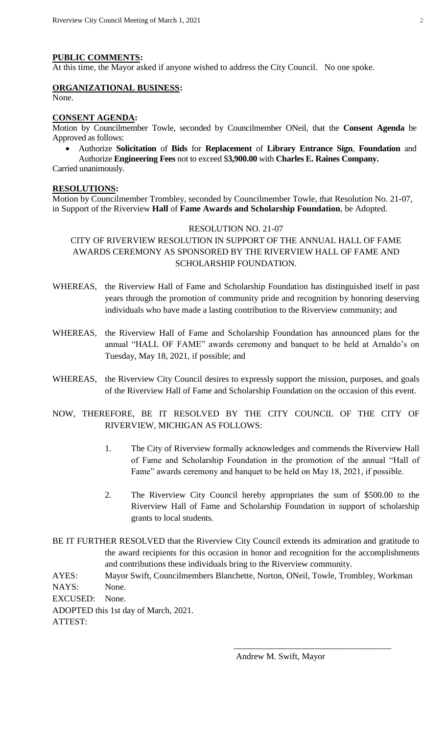### **PUBLIC COMMENTS:**

At this time, the Mayor asked if anyone wished to address the City Council. No one spoke.

# **ORGANIZATIONAL BUSINESS:**

None.

#### **CONSENT AGENDA:**

Motion by Councilmember Towle, seconded by Councilmember ONeil, that the **Consent Agenda** be Approved as follows:

 Authorize **Solicitation** of **Bids** for **Replacement** of **Library Entrance Sign**, **Foundation** and Authorize **Engineering Fees** not to exceed \$**3,900.00** with **Charles E. Raines Company.**

Carried unanimously.

# **RESOLUTIONS:**

Motion by Councilmember Trombley, seconded by Councilmember Towle, that Resolution No. 21-07, in Support of the Riverview **Hall** of **Fame Awards and Scholarship Foundation**, be Adopted.

### RESOLUTION NO. 21-07

CITY OF RIVERVIEW RESOLUTION IN SUPPORT OF THE ANNUAL HALL OF FAME AWARDS CEREMONY AS SPONSORED BY THE RIVERVIEW HALL OF FAME AND SCHOLARSHIP FOUNDATION.

- WHEREAS, the Riverview Hall of Fame and Scholarship Foundation has distinguished itself in past years through the promotion of community pride and recognition by honoring deserving individuals who have made a lasting contribution to the Riverview community; and
- WHEREAS, the Riverview Hall of Fame and Scholarship Foundation has announced plans for the annual "HALL OF FAME" awards ceremony and banquet to be held at Arnaldo's on Tuesday, May 18, 2021, if possible; and
- WHEREAS, the Riverview City Council desires to expressly support the mission, purposes, and goals of the Riverview Hall of Fame and Scholarship Foundation on the occasion of this event.
- NOW, THEREFORE, BE IT RESOLVED BY THE CITY COUNCIL OF THE CITY OF RIVERVIEW, MICHIGAN AS FOLLOWS:
	- 1. The City of Riverview formally acknowledges and commends the Riverview Hall of Fame and Scholarship Foundation in the promotion of the annual "Hall of Fame" awards ceremony and banquet to be held on May 18, 2021, if possible.
	- 2. The Riverview City Council hereby appropriates the sum of \$500.00 to the Riverview Hall of Fame and Scholarship Foundation in support of scholarship grants to local students.
- BE IT FURTHER RESOLVED that the Riverview City Council extends its admiration and gratitude to the award recipients for this occasion in honor and recognition for the accomplishments and contributions these individuals bring to the Riverview community.

AYES: Mayor Swift, Councilmembers Blanchette, Norton, ONeil, Towle, Trombley, Workman NAYS: None.

 $\frac{1}{2}$  , and the contract of the contract of the contract of the contract of the contract of the contract of the contract of the contract of the contract of the contract of the contract of the contract of the contract

EXCUSED: None.

ADOPTED this 1st day of March, 2021. ATTEST:

Andrew M. Swift, Mayor